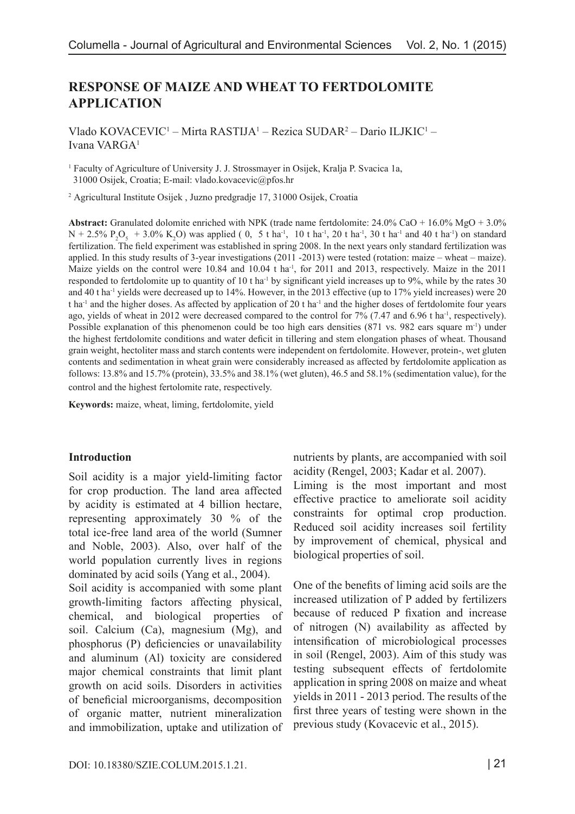# **RESPONSE OF MAIZE AND WHEAT TO FERTDOLOMITE APPLICATION**

Vlado KOVACEVIC1 – Mirta RASTIJA1 – Rezica SUDAR2 – Dario ILJKIC1 – Ivana VARGA1

<sup>1</sup> Faculty of Agriculture of University J. J. Strossmayer in Osijek, Kralja P. Svacica 1a, 31000 Osijek, Croatia; E-mail: vlado.kovacevic@pfos.hr

2 Agricultural Institute Osijek , Juzno predgradje 17, 31000 Osijek, Croatia

**Abstract:** Granulated dolomite enriched with NPK (trade name fertdolomite: 24.0% CaO + 16.0% MgO + 3.0%  $N + 2.5\% \text{ P}_2\text{O}_5 + 3.0\% \text{ K}_2\text{O}$  was applied (0, 5 t ha<sup>-1</sup>, 10 t ha<sup>-1</sup>, 20 t ha<sup>-1</sup>, 30 t ha<sup>-1</sup> and 40 t ha<sup>-1</sup>) on standard fertilization. The field experiment was established in spring 2008. In the next years only standard fertilization was applied. In this study results of 3-year investigations (2011 -2013) were tested (rotation: maize – wheat – maize). Maize yields on the control were 10.84 and 10.04 t ha<sup>-1</sup>, for 2011 and 2013, respectively. Maize in the 2011 responded to fertdolomite up to quantity of 10 t ha<sup>-1</sup> by significant yield increases up to 9%, while by the rates 30 and 40 t ha-1 yields were decreased up to 14%. However, in the 2013 effective (up to 17% yield increases) were 20 t ha<sup>-1</sup> and the higher doses. As affected by application of 20 t ha<sup>-1</sup> and the higher doses of fertdolomite four years ago, yields of wheat in 2012 were decreased compared to the control for 7% (7.47 and 6.96 t ha<sup>-1</sup>, respectively). Possible explanation of this phenomenon could be too high ears densities (871 vs. 982 ears square m-1) under the highest fertdolomite conditions and water deficit in tillering and stem elongation phases of wheat. Thousand grain weight, hectoliter mass and starch contents were independent on fertdolomite. However, protein-, wet gluten contents and sedimentation in wheat grain were considerably increased as affected by fertdolomite application as follows: 13.8% and 15.7% (protein), 33.5% and 38.1% (wet gluten), 46.5 and 58.1% (sedimentation value), for the control and the highest fertolomite rate, respectively.

**Keywords:** maize, wheat, liming, fertdolomite, yield

#### **Introduction**

Soil acidity is a major yield-limiting factor for crop production. The land area affected by acidity is estimated at 4 billion hectare, representing approximately 30 % of the total ice-free land area of the world (Sumner and Noble, 2003). Also, over half of the world population currently lives in regions dominated by acid soils (Yang et al., 2004). Soil acidity is accompanied with some plant growth-limiting factors affecting physical, chemical, and biological properties of soil. Calcium (Ca), magnesium (Mg), and phosphorus (P) deficiencies or unavailability and aluminum (Al) toxicity are considered major chemical constraints that limit plant growth on acid soils. Disorders in activities of beneficial microorganisms, decomposition of organic matter, nutrient mineralization and immobilization, uptake and utilization of nutrients by plants, are accompanied with soil acidity (Rengel, 2003; Kadar et al. 2007).

Liming is the most important and most effective practice to ameliorate soil acidity constraints for optimal crop production. Reduced soil acidity increases soil fertility by improvement of chemical, physical and biological properties of soil.

One of the benefits of liming acid soils are the increased utilization of P added by fertilizers because of reduced P fixation and increase of nitrogen (N) availability as affected by intensification of microbiological processes in soil (Rengel, 2003). Aim of this study was testing subsequent effects of fertdolomite application in spring 2008 on maize and wheat yields in 2011 - 2013 period. The results of the first three years of testing were shown in the previous study (Kovacevic et al., 2015).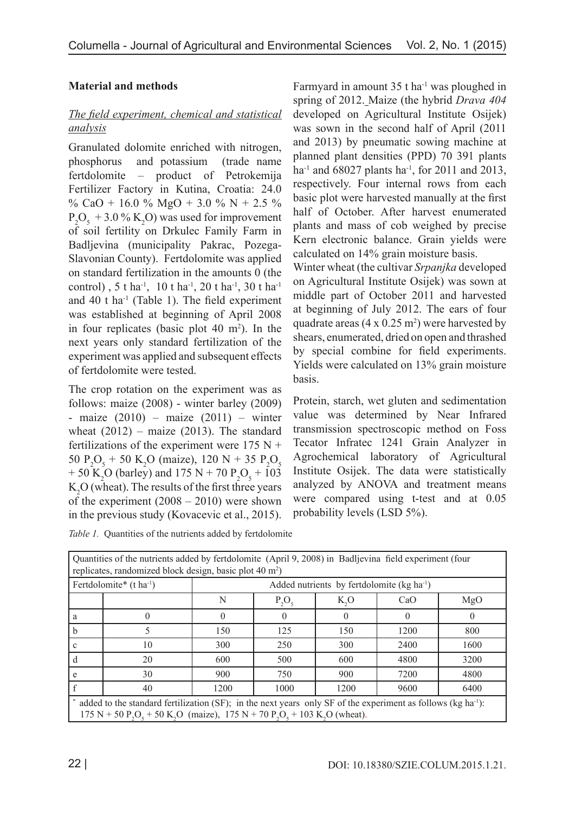## **Material and methods**

### *The field experiment, chemical and statistical analysis*

Granulated dolomite enriched with nitrogen, phosphorus and potassium (trade name fertdolomite – product of Petrokemija Fertilizer Factory in Kutina, Croatia: 24.0 % CaO + 16.0 % MgO + 3.0 % N + 2.5 %  $P_2O_5 + 3.0\% K_2O$  was used for improvement of soil fertility on Drkulec Family Farm in Badljevina (municipality Pakrac, Pozega-Slavonian County). Fertdolomite was applied on standard fertilization in the amounts 0 (the control), 5 t ha<sup>-1</sup>, 10 t ha<sup>-1</sup>, 20 t ha<sup>-1</sup>, 30 t ha<sup>-1</sup> and  $40$  t ha<sup>-1</sup> (Table 1). The field experiment was established at beginning of April 2008 in four replicates (basic plot  $40 \text{ m}^2$ ). In the next years only standard fertilization of the experiment was applied and subsequent effects of fertdolomite were tested.

The crop rotation on the experiment was as follows: maize (2008) - winter barley (2009) - maize  $(2010)$  – maize  $(2011)$  – winter wheat  $(2012)$  – maize  $(2013)$ . The standard fertilizations of the experiment were  $175 N +$ 50 P<sub>2</sub>O<sub>5</sub> + 50 K<sub>2</sub>O (maize), 120 N + 35 P<sub>2</sub>O<sub>5</sub> + 50 K<sub>2</sub>O (barley) and 175 N + 70 P<sub>2</sub>O<sub>5</sub> + 103  $K_2O$  (wheat). The results of the first three years of the experiment  $(2008 - 2010)$  were shown in the previous study (Kovacevic et al., 2015).

*Table 1.* Quantities of the nutrients added by fertdolomite

Farmyard in amount  $35$  t ha<sup>-1</sup> was ploughed in spring of 2012. Maize (the hybrid *Drava 404* developed on Agricultural Institute Osijek) was sown in the second half of April (2011 and 2013) by pneumatic sowing machine at planned plant densities (PPD) 70 391 plants ha<sup>-1</sup> and 68027 plants ha<sup>-1</sup>, for 2011 and 2013, respectively. Four internal rows from each basic plot were harvested manually at the first half of October. After harvest enumerated plants and mass of cob weighed by precise Kern electronic balance. Grain yields were calculated on 14% grain moisture basis.

Winter wheat (the cultivar *Srpanjka* developed on Agricultural Institute Osijek) was sown at middle part of October 2011 and harvested at beginning of July 2012. The ears of four quadrate areas  $(4 \times 0.25 \text{ m}^2)$  were harvested by shears, enumerated, dried on open and thrashed by special combine for field experiments. Yields were calculated on 13% grain moisture basis.

Protein, starch, wet gluten and sedimentation value was determined by Near Infrared transmission spectroscopic method on Foss Tecator Infratec 1241 Grain Analyzer in Agrochemical laboratory of Agricultural Institute Osijek. The data were statistically analyzed by ANOVA and treatment means were compared using t-test and at 0.05 probability levels (LSD 5%).

| Quantities of the nutrients added by fertdolomite (April 9, 2008) in Badljevina field experiment (four<br>replicates, randomized block design, basic plot 40 m <sup>2</sup> )                                                                                                                                                                                                                                                                                                                                                                                                                                                            |                                                 |                                             |      |      |      |      |  |  |  |
|------------------------------------------------------------------------------------------------------------------------------------------------------------------------------------------------------------------------------------------------------------------------------------------------------------------------------------------------------------------------------------------------------------------------------------------------------------------------------------------------------------------------------------------------------------------------------------------------------------------------------------------|-------------------------------------------------|---------------------------------------------|------|------|------|------|--|--|--|
|                                                                                                                                                                                                                                                                                                                                                                                                                                                                                                                                                                                                                                          | Fertdolomite <sup>*</sup> (t ha <sup>-1</sup> ) | Added nutrients by fertdolomite $(kg ha-1)$ |      |      |      |      |  |  |  |
|                                                                                                                                                                                                                                                                                                                                                                                                                                                                                                                                                                                                                                          | MgO<br>K, O<br>N<br>$P_2O_5$<br>CaO             |                                             |      |      |      |      |  |  |  |
| a                                                                                                                                                                                                                                                                                                                                                                                                                                                                                                                                                                                                                                        |                                                 | $\Omega$                                    |      |      |      |      |  |  |  |
| b                                                                                                                                                                                                                                                                                                                                                                                                                                                                                                                                                                                                                                        |                                                 | 150                                         | 125  | 150  | 1200 | 800  |  |  |  |
|                                                                                                                                                                                                                                                                                                                                                                                                                                                                                                                                                                                                                                          | 10                                              | 300                                         | 250  | 300  | 2400 | 1600 |  |  |  |
| d                                                                                                                                                                                                                                                                                                                                                                                                                                                                                                                                                                                                                                        | 20                                              | 600                                         | 500  | 600  | 4800 | 3200 |  |  |  |
|                                                                                                                                                                                                                                                                                                                                                                                                                                                                                                                                                                                                                                          | 30                                              | 900                                         | 750  | 900  | 7200 | 4800 |  |  |  |
|                                                                                                                                                                                                                                                                                                                                                                                                                                                                                                                                                                                                                                          | 40                                              | 1200                                        | 1000 | 1200 | 9600 | 6400 |  |  |  |
| added to the standard fertilization (SF); in the next years only SF of the experiment as follows (kg ha <sup>-1</sup> ):<br>$\mathbf{1} = \mathbf{1} \times \mathbf{1} \times \mathbf{1} \times \mathbf{1} \times \mathbf{1} \times \mathbf{1} \times \mathbf{1} \times \mathbf{1} \times \mathbf{1} \times \mathbf{1} \times \mathbf{1} \times \mathbf{1} \times \mathbf{1} \times \mathbf{1} \times \mathbf{1} \times \mathbf{1} \times \mathbf{1} \times \mathbf{1} \times \mathbf{1} \times \mathbf{1} \times \mathbf{1} \times \mathbf{1} \times \mathbf{1} \times \mathbf{1} \times \mathbf{1} \times \mathbf{1} \times \mathbf{1$ |                                                 |                                             |      |      |      |      |  |  |  |

 $175 \text{ N} + 50 \text{ P}_2\text{O}_5 + 50 \text{ K}_2\text{O}$  (maize),  $175 \text{ N} + 70 \text{ P}_2\text{O}_5 + 103 \text{ K}_2\text{O}$  (wheat).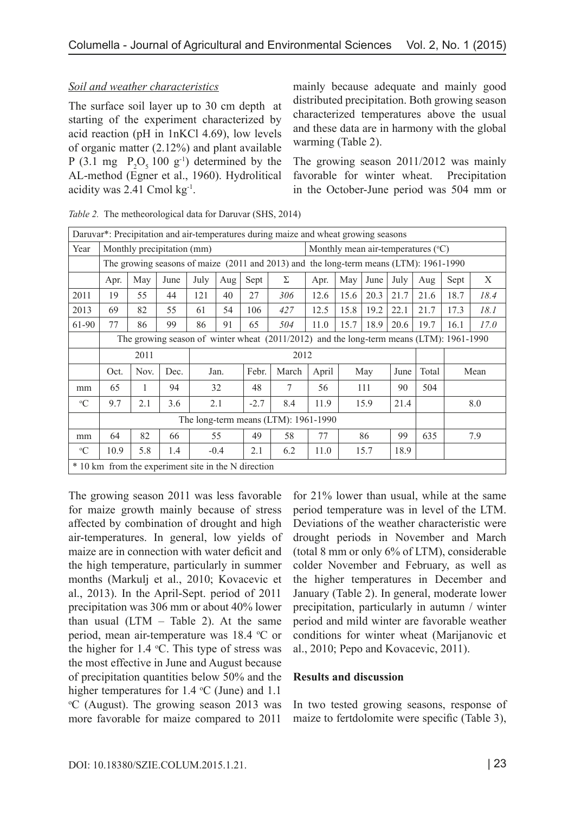### *Soil and weather characteristics*

The surface soil layer up to 30 cm depth at starting of the experiment characterized by acid reaction (pH in 1nKCl 4.69), low levels of organic matter (2.12%) and plant available P (3.1 mg  $P_2O_5 100 g^{-1}$ ) determined by the AL-method (Egner et al., 1960). Hydrolitical acidity was 2.41 Cmol kg-1.

mainly because adequate and mainly good distributed precipitation. Both growing season characterized temperatures above the usual and these data are in harmony with the global warming (Table 2).

The growing season 2011/2012 was mainly favorable for winter wheat. Precipitation in the October-June period was 504 mm or

| Daruvar <sup>*</sup> : Precipitation and air-temperatures during maize and wheat growing seasons |                                                                                           |     |                            |      |        |      |       |                                      |      |      |      |       |      |      |
|--------------------------------------------------------------------------------------------------|-------------------------------------------------------------------------------------------|-----|----------------------------|------|--------|------|-------|--------------------------------------|------|------|------|-------|------|------|
| Year                                                                                             |                                                                                           |     | Monthly precipitation (mm) |      |        |      |       | Monthly mean air-temperatures $(°C)$ |      |      |      |       |      |      |
|                                                                                                  | The growing seasons of maize (2011 and 2013) and the long-term means (LTM): 1961-1990     |     |                            |      |        |      |       |                                      |      |      |      |       |      |      |
|                                                                                                  | Apr.                                                                                      | May | June                       | July | Aug    | Sept | Σ     | Apr.                                 | May  | June | July | Aug   | Sept | X    |
| 2011                                                                                             | 19                                                                                        | 55  | 44                         | 121  | 40     | 27   | 306   | 12.6                                 | 15.6 | 20.3 | 21.7 | 21.6  | 18.7 | 18.4 |
| 2013                                                                                             | 69                                                                                        | 82  | 55                         | 61   | 54     | 106  | 427   | 12.5                                 | 15.8 | 19.2 | 22.1 | 21.7  | 17.3 | 18.1 |
| 61-90                                                                                            | 77                                                                                        | 86  | 99                         | 86   | 91     | 65   | 504   | 11.0                                 | 15.7 | 18.9 | 20.6 | 19.7  | 16.1 | 17.0 |
|                                                                                                  | The growing season of winter wheat $(2011/2012)$ and the long-term means (LTM): 1961-1990 |     |                            |      |        |      |       |                                      |      |      |      |       |      |      |
|                                                                                                  | 2011<br>2012                                                                              |     |                            |      |        |      |       |                                      |      |      |      |       |      |      |
|                                                                                                  | Febr.<br>Oct.<br>Nov.<br>Dec.<br>Jan.                                                     |     |                            |      |        |      | March | April                                |      | May  | June | Total |      | Mean |
| mm                                                                                               | 65                                                                                        |     | 94                         |      | 32     | 48   | 7     | 56                                   |      | 111  | 90   | 504   |      |      |
| $\rm ^{o}C$                                                                                      | 9.7<br>2.1<br>3.6<br>2.1<br>$-2.7$<br>8.4<br>11.9<br>15.9<br>21.4<br>8.0                  |     |                            |      |        |      |       |                                      |      |      |      |       |      |      |
|                                                                                                  | The long-term means (LTM): 1961-1990                                                      |     |                            |      |        |      |       |                                      |      |      |      |       |      |      |
| mm                                                                                               | 82<br>77<br>64<br>49<br>58<br>55<br>86<br>66                                              |     |                            |      |        |      |       | 99                                   | 635  |      | 7.9  |       |      |      |
| $\rm ^{o}C$                                                                                      | 10.9                                                                                      | 5.8 | 1.4                        |      | $-0.4$ | 2.1  | 6.2   | 11.0                                 |      | 15.7 | 18.9 |       |      |      |
| * 10 km from the experiment site in the N direction                                              |                                                                                           |     |                            |      |        |      |       |                                      |      |      |      |       |      |      |

*Table 2.* The metheorological data for Daruvar (SHS, 2014)

The growing season 2011 was less favorable for maize growth mainly because of stress affected by combination of drought and high air-temperatures. In general, low yields of maize are in connection with water deficit and the high temperature, particularly in summer months (Markulj et al., 2010; Kovacevic et al., 2013). In the April-Sept. period of 2011 precipitation was 306 mm or about 40% lower than usual  $(LTM - Table 2)$ . At the same period, mean air-temperature was 18.4 °C or the higher for  $1.4 \text{ °C}$ . This type of stress was the most effective in June and August because of precipitation quantities below 50% and the higher temperatures for  $1.4 \text{ }^{\circ}C$  (June) and  $1.1 \text{ }^{\circ}C$  (August). The growing season 2013 was C (August). The growing season 2013 was more favorable for maize compared to 2011

for 21% lower than usual, while at the same period temperature was in level of the LTM. Deviations of the weather characteristic were drought periods in November and March (total 8 mm or only 6% of LTM), considerable colder November and February, as well as the higher temperatures in December and January (Table 2). In general, moderate lower precipitation, particularly in autumn / winter period and mild winter are favorable weather conditions for winter wheat (Marijanovic et al., 2010; Pepo and Kovacevic, 2011).

#### **Results and discussion**

In two tested growing seasons, response of maize to fertdolomite were specific (Table 3),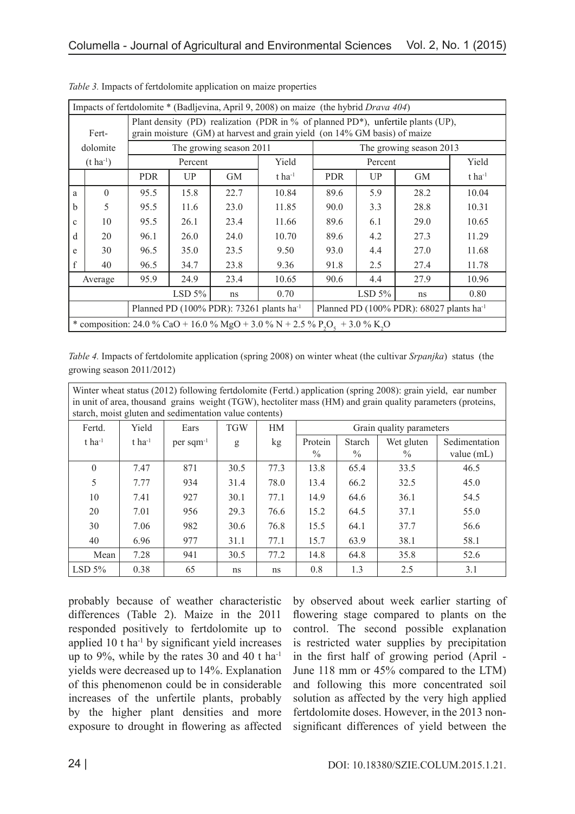| Impacts of fertdolomite * (Badljevina, April 9, 2008) on maize (the hybrid <i>Drava 404</i> )                                                                          |                                                                                                                 |            |         |                                                       |       |      |                         |           |                      |  |
|------------------------------------------------------------------------------------------------------------------------------------------------------------------------|-----------------------------------------------------------------------------------------------------------------|------------|---------|-------------------------------------------------------|-------|------|-------------------------|-----------|----------------------|--|
| Plant density (PD) realization (PDR in % of planned PD*), unfertile plants (UP),<br>grain moisture (GM) at harvest and grain yield (on 14% GM basis) of maize<br>Fert- |                                                                                                                 |            |         |                                                       |       |      |                         |           |                      |  |
| dolomite                                                                                                                                                               |                                                                                                                 |            |         | The growing season 2011                               |       |      | The growing season 2013 |           |                      |  |
|                                                                                                                                                                        |                                                                                                                 |            |         |                                                       |       |      |                         |           |                      |  |
|                                                                                                                                                                        | $(t \text{ ha}^{-1})$                                                                                           |            | Percent |                                                       | Yield |      | Percent                 |           | Yield                |  |
|                                                                                                                                                                        |                                                                                                                 | <b>PDR</b> | UP      | <b>GM</b><br>$t$ ha <sup>-1</sup><br><b>PDR</b><br>UP |       |      |                         | <b>GM</b> | $t$ ha <sup>-1</sup> |  |
| a                                                                                                                                                                      | $\Omega$                                                                                                        | 95.5       | 15.8    | 22.7                                                  | 10.84 | 89.6 | 5.9                     | 28.2      | 10.04                |  |
| h                                                                                                                                                                      | 5                                                                                                               | 95.5       | 11.6    | 23.0                                                  | 11.85 | 90.0 | 3.3                     | 28.8      | 10.31                |  |
| $\mathbf{c}$                                                                                                                                                           | 10                                                                                                              | 95.5       | 26.1    | 23.4                                                  | 11.66 | 89.6 | 6.1                     | 29.0      | 10.65                |  |
| d                                                                                                                                                                      | 20                                                                                                              | 96.1       | 26.0    | 24.0                                                  | 10.70 | 89.6 | 4.2                     | 27.3      | 11.29                |  |
| e                                                                                                                                                                      | 30                                                                                                              | 96.5       | 35.0    | 23.5                                                  | 9.50  | 93.0 | 4.4                     | 27.0      | 11.68                |  |
| f                                                                                                                                                                      | 40                                                                                                              | 96.5       | 34.7    | 23.8                                                  | 9.36  | 91.8 | 2.5                     | 27.4      | 11.78                |  |
|                                                                                                                                                                        | Average                                                                                                         | 95.9       | 24.9    | 23.4                                                  | 10.65 | 90.6 | 4.4                     | 27.9      | 10.96                |  |
| $LSD 5\%$<br>LSD $5\%$<br>0.70<br>0.80<br>ns<br>ns                                                                                                                     |                                                                                                                 |            |         |                                                       |       |      |                         |           |                      |  |
|                                                                                                                                                                        | Planned PD (100% PDR): 73261 plants ha <sup>-1</sup><br>Planned PD (100% PDR): 68027 plants ha <sup>-1</sup>    |            |         |                                                       |       |      |                         |           |                      |  |
|                                                                                                                                                                        | * composition: 24.0 % CaO + 16.0 % MgO + 3.0 % N + 2.5 % P <sub>2</sub> O <sub>c</sub> + 3.0 % K <sub>2</sub> O |            |         |                                                       |       |      |                         |           |                      |  |

*Table 3.* Impacts of fertdolomite application on maize properties

*Table 4.* Impacts of fertdolomite application (spring 2008) on winter wheat (the cultivar *Srpanjka*) status (the growing season 2011/2012)

| Winter wheat status (2012) following fertdolomite (Fertd.) application (spring 2008): grain yield, ear number |                      |                         |            |                 |                                                                 |      |      |      |  |  |  |  |
|---------------------------------------------------------------------------------------------------------------|----------------------|-------------------------|------------|-----------------|-----------------------------------------------------------------|------|------|------|--|--|--|--|
| in unit of area, thousand grains weight (TGW), hectoliter mass (HM) and grain quality parameters (proteins,   |                      |                         |            |                 |                                                                 |      |      |      |  |  |  |  |
| starch, moist gluten and sedimentation value contents)                                                        |                      |                         |            |                 |                                                                 |      |      |      |  |  |  |  |
| Fertd.                                                                                                        | Yield                | Ears                    | <b>TGW</b> | <b>HM</b>       | Grain quality parameters                                        |      |      |      |  |  |  |  |
| $t$ ha <sup>-1</sup>                                                                                          | $t$ ha <sup>-1</sup> | $per$ sqm <sup>-1</sup> | g          | kg <sub>2</sub> | Wet gluten<br>Sedimentation<br>Protein<br>Starch                |      |      |      |  |  |  |  |
|                                                                                                               |                      |                         |            |                 | $\frac{0}{0}$<br>$\frac{0}{0}$<br>$\frac{0}{0}$<br>value $(mL)$ |      |      |      |  |  |  |  |
| $\theta$                                                                                                      | 7.47                 | 871                     | 30.5       | 77.3            | 13.8                                                            | 65.4 | 33.5 | 46.5 |  |  |  |  |
| 5                                                                                                             | 7.77                 | 934                     | 31.4       | 78.0            | 13.4                                                            | 66.2 | 32.5 | 45.0 |  |  |  |  |
| 10                                                                                                            | 7.41                 | 927                     | 30.1       | 77.1            | 14.9                                                            | 64.6 | 36.1 | 54.5 |  |  |  |  |
| 20                                                                                                            | 7.01                 | 956                     | 29.3       | 76.6            | 15.2                                                            | 64.5 | 37.1 | 55.0 |  |  |  |  |
| 30                                                                                                            | 7.06                 | 982                     | 30.6       | 76.8            | 15.5                                                            | 64.1 | 37.7 | 56.6 |  |  |  |  |
| 40                                                                                                            | 6.96                 | 977                     | 31.1       | 77.1            | 15.7                                                            | 63.9 | 38.1 | 58.1 |  |  |  |  |
| Mean                                                                                                          | 7.28                 | 941                     | 30.5       | 77.2            | 14.8                                                            | 64.8 | 35.8 | 52.6 |  |  |  |  |
| LSD 5%                                                                                                        | 0.38                 | 65                      | ns         | ns              | 0.8                                                             | 1.3  | 2.5  | 3.1  |  |  |  |  |

probably because of weather characteristic differences (Table 2). Maize in the 2011 responded positively to fertdolomite up to applied  $10$  t ha<sup>-1</sup> by significant yield increases up to  $9\%$ , while by the rates 30 and 40 t ha<sup>-1</sup> yields were decreased up to 14%. Explanation of this phenomenon could be in considerable increases of the unfertile plants, probably by the higher plant densities and more exposure to drought in flowering as affected by observed about week earlier starting of flowering stage compared to plants on the control. The second possible explanation is restricted water supplies by precipitation in the first half of growing period (April - June 118 mm or 45% compared to the LTM) and following this more concentrated soil solution as affected by the very high applied fertdolomite doses. However, in the 2013 nonsignificant differences of yield between the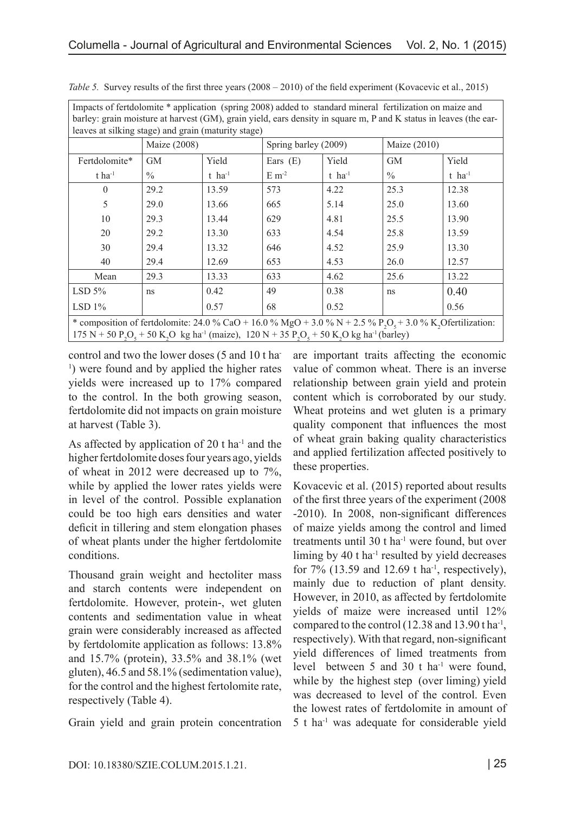| barley: grain moisture at harvest (GM), grain yield, ears density in square m, P and K status in leaves (the ear-                                                                                                                                                                                 |              |                      |                      |                      |              |                      |  |  |  |  |
|---------------------------------------------------------------------------------------------------------------------------------------------------------------------------------------------------------------------------------------------------------------------------------------------------|--------------|----------------------|----------------------|----------------------|--------------|----------------------|--|--|--|--|
| leaves at silking stage) and grain (maturity stage)                                                                                                                                                                                                                                               |              |                      |                      |                      |              |                      |  |  |  |  |
|                                                                                                                                                                                                                                                                                                   | Maize (2008) |                      | Spring barley (2009) |                      | Maize (2010) |                      |  |  |  |  |
| Fertdolomite*                                                                                                                                                                                                                                                                                     | GM           | Yield                | Ears $(E)$           | Yield                | <b>GM</b>    | Yield                |  |  |  |  |
| $t$ ha <sup>-1</sup>                                                                                                                                                                                                                                                                              | $\%$         | $t$ ha <sup>-1</sup> | $E \, \text{m}^{-2}$ | $t$ ha <sup>-1</sup> | $\%$         | $t$ ha <sup>-1</sup> |  |  |  |  |
| $\Omega$                                                                                                                                                                                                                                                                                          | 29.2         | 13.59                | 573                  | 4.22                 | 25.3         | 12.38                |  |  |  |  |
| 5                                                                                                                                                                                                                                                                                                 | 29.0         | 13.66                | 665                  | 5.14                 | 25.0         | 13.60                |  |  |  |  |
| 10                                                                                                                                                                                                                                                                                                | 29.3         | 13.44                | 629                  | 4.81                 | 25.5         | 13.90                |  |  |  |  |
| 20                                                                                                                                                                                                                                                                                                | 29.2         | 13.30                | 633                  | 4.54                 | 25.8         | 13.59                |  |  |  |  |
| 30                                                                                                                                                                                                                                                                                                | 29.4         | 13.32                | 646                  | 4.52                 | 25.9         | 13.30                |  |  |  |  |
| 40                                                                                                                                                                                                                                                                                                | 29.4         | 12.69                | 653                  | 4.53                 | 26.0         | 12.57                |  |  |  |  |
| Mean                                                                                                                                                                                                                                                                                              | 29.3         | 13.33                | 633                  | 4.62                 | 25.6         | 13.22                |  |  |  |  |
| LSD 5%                                                                                                                                                                                                                                                                                            | ns           | 0.42                 | 49                   | 0.38                 | ns           | 0.40                 |  |  |  |  |
| LSD <sub>1%</sub>                                                                                                                                                                                                                                                                                 |              | 0.57                 | 68                   | 0.52                 |              | 0.56                 |  |  |  |  |
| * composition of fertdolomite: 24.0 % CaO + 16.0 % MgO + 3.0 % N + 2.5 % P <sub>2</sub> O <sub>5</sub> + 3.0 % K <sub>2</sub> Ofertilization:<br>175 N + 50 P,O <sub>5</sub> + 50 K,O kg ha <sup>-1</sup> (maize), 120 N + 35 P <sub>2</sub> O <sub>5</sub> + 50 K,O kg ha <sup>-1</sup> (barley) |              |                      |                      |                      |              |                      |  |  |  |  |

*Table 5.* Survey results of the first three years (2008 – 2010) of the field experiment (Kovacevic et al., 2015)

Impacts of fertdolomite \* application (spring 2008) added to standard mineral fertilization on maize and

control and two the lower doses (5 and 10 t ha-<sup>1</sup>) were found and by applied the higher rates yields were increased up to 17% compared to the control. In the both growing season, fertdolomite did not impacts on grain moisture at harvest (Table 3).

As affected by application of 20 t ha $^{-1}$  and the higher fertdolomite doses four years ago, yields of wheat in 2012 were decreased up to 7%, while by applied the lower rates yields were in level of the control. Possible explanation could be too high ears densities and water deficit in tillering and stem elongation phases of wheat plants under the higher fertdolomite conditions.

Thousand grain weight and hectoliter mass and starch contents were independent on fertdolomite. However, protein-, wet gluten contents and sedimentation value in wheat grain were considerably increased as affected by fertdolomite application as follows: 13.8% and 15.7% (protein), 33.5% and 38.1% (wet gluten), 46.5 and 58.1% (sedimentation value), for the control and the highest fertolomite rate, respectively (Table 4).

Grain yield and grain protein concentration

are important traits affecting the economic value of common wheat. There is an inverse relationship between grain yield and protein content which is corroborated by our study. Wheat proteins and wet gluten is a primary quality component that influences the most of wheat grain baking quality characteristics and applied fertilization affected positively to these properties.

Kovacevic et al. (2015) reported about results of the first three years of the experiment (2008 -2010). In 2008, non-significant differences of maize yields among the control and limed treatments until 30 t ha<sup>-1</sup> were found, but over liming by  $40$  t ha<sup>-1</sup> resulted by yield decreases for  $7\%$  (13.59 and 12.69 t ha<sup>-1</sup>, respectively), mainly due to reduction of plant density. However, in 2010, as affected by fertdolomite yields of maize were increased until 12% compared to the control (12.38 and 13.90 t ha-1, respectively). With that regard, non-significant yield differences of limed treatments from level between 5 and 30 t ha<sup>-1</sup> were found, while by the highest step (over liming) yield was decreased to level of the control. Even the lowest rates of fertdolomite in amount of 5 t ha-1 was adequate for considerable yield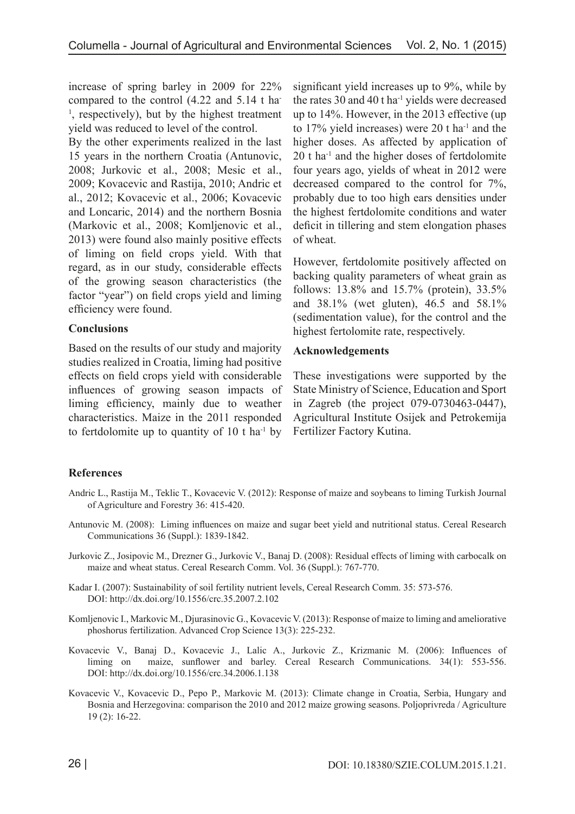increase of spring barley in 2009 for 22% compared to the control (4.22 and 5.14 t ha-<sup>1</sup>, respectively), but by the highest treatment yield was reduced to level of the control.

By the other experiments realized in the last 15 years in the northern Croatia (Antunovic, 2008; Jurkovic et al., 2008; Mesic et al., 2009; Kovacevic and Rastija, 2010; Andric et al., 2012; Kovacevic et al., 2006; Kovacevic and Loncaric, 2014) and the northern Bosnia (Markovic et al., 2008; Komljenovic et al., 2013) were found also mainly positive effects of liming on field crops yield. With that regard, as in our study, considerable effects of the growing season characteristics (the factor "year") on field crops yield and liming efficiency were found.

### **Conclusions**

Based on the results of our study and majority studies realized in Croatia, liming had positive effects on field crops yield with considerable influences of growing season impacts of liming efficiency, mainly due to weather characteristics. Maize in the 2011 responded to fertdolomite up to quantity of  $10$  t ha<sup>-1</sup> by

significant yield increases up to 9%, while by the rates 30 and 40 t ha-1 yields were decreased up to 14%. However, in the 2013 effective (up to 17% yield increases) were 20 t ha-1 and the higher doses. As affected by application of 20 t ha-1 and the higher doses of fertdolomite four years ago, yields of wheat in 2012 were decreased compared to the control for 7%, probably due to too high ears densities under the highest fertdolomite conditions and water deficit in tillering and stem elongation phases of wheat.

However, fertdolomite positively affected on backing quality parameters of wheat grain as follows: 13.8% and 15.7% (protein), 33.5% and 38.1% (wet gluten), 46.5 and 58.1% (sedimentation value), for the control and the highest fertolomite rate, respectively.

### **Acknowledgements**

These investigations were supported by the State Ministry of Science, Education and Sport in Zagreb (the project 079-0730463-0447), Agricultural Institute Osijek and Petrokemija Fertilizer Factory Kutina.

#### **References**

- Andric L., Rastija M., Teklic T., Kovacevic V. (2012): Response of maize and soybeans to liming Turkish Journal of Agriculture and Forestry 36: 415-420.
- Antunovic M. (2008): Liming influences on maize and sugar beet yield and nutritional status. Cereal Research Communications 36 (Suppl.): 1839-1842.
- Jurkovic Z., Josipovic M., Drezner G., Jurkovic V., Banaj D. (2008): Residual effects of liming with carbocalk on maize and wheat status. Cereal Research Comm. Vol. 36 (Suppl.): 767-770.
- Kadar I. (2007): Sustainability of soil fertility nutrient levels, Cereal Research Comm. 35: 573-576. DOI: http://dx.doi.org/10.1556/crc.35.2007.2.102
- Komljenovic I., Markovic M., Djurasinovic G., Kovacevic V. (2013): Response of maize to liming and ameliorative phoshorus fertilization. Advanced Crop Science 13(3): 225-232.
- Kovacevic V., Banaj D., Kovacevic J., Lalic A., Jurkovic Z., Krizmanic M. (2006): Influences of liming on maize, sunflower and barley. Cereal Research Communications. 34(1): 553-556. DOI: http://dx.doi.org/10.1556/crc.34.2006.1.138
- Kovacevic V., Kovacevic D., Pepo P., Markovic M. (2013): Climate change in Croatia, Serbia, Hungary and Bosnia and Herzegovina: comparison the 2010 and 2012 maize growing seasons. Poljoprivreda / Agriculture 19 (2): 16-22.